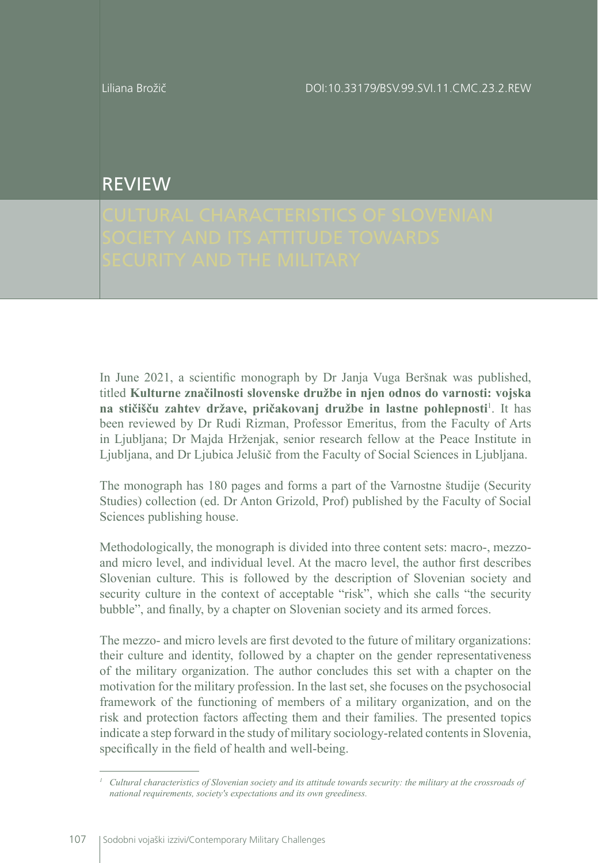Liliana Brožič

DOI:10.33179/BSV.99.SVI.11.CMC.23.2.REW

## REVIEW

In June 2021, a scientific monograph by Dr Janja Vuga Beršnak was published, titled **Kulturne značilnosti slovenske družbe in njen odnos do varnosti: vojska na stičišču zahtev države, pričakovanj družbe in lastne pohlepnosti<sup>1</sup>. It has** been reviewed by Dr Rudi Rizman, Professor Emeritus, from the Faculty of Arts in Ljubljana; Dr Majda Hrženjak, senior research fellow at the Peace Institute in Ljubljana, and Dr Ljubica Jelušič from the Faculty of Social Sciences in Ljubljana.

The monograph has 180 pages and forms a part of the Varnostne študije (Security Studies) collection (ed. Dr Anton Grizold, Prof) published by the Faculty of Social Sciences publishing house.

Methodologically, the monograph is divided into three content sets: macro-, mezzoand micro level, and individual level. At the macro level, the author first describes Slovenian culture. This is followed by the description of Slovenian society and security culture in the context of acceptable "risk", which she calls "the security bubble", and finally, by a chapter on Slovenian society and its armed forces.

The mezzo- and micro levels are first devoted to the future of military organizations: their culture and identity, followed by a chapter on the gender representativeness of the military organization. The author concludes this set with a chapter on the motivation for the military profession. In the last set, she focuses on the psychosocial framework of the functioning of members of a military organization, and on the risk and protection factors affecting them and their families. The presented topics indicate a step forward in the study of military sociology-related contents in Slovenia, specifically in the field of health and well-being.

*<sup>1</sup> Cultural characteristics of Slovenian society and its attitude towards security: the military at the crossroads of national requirements, society's expectations and its own greediness.*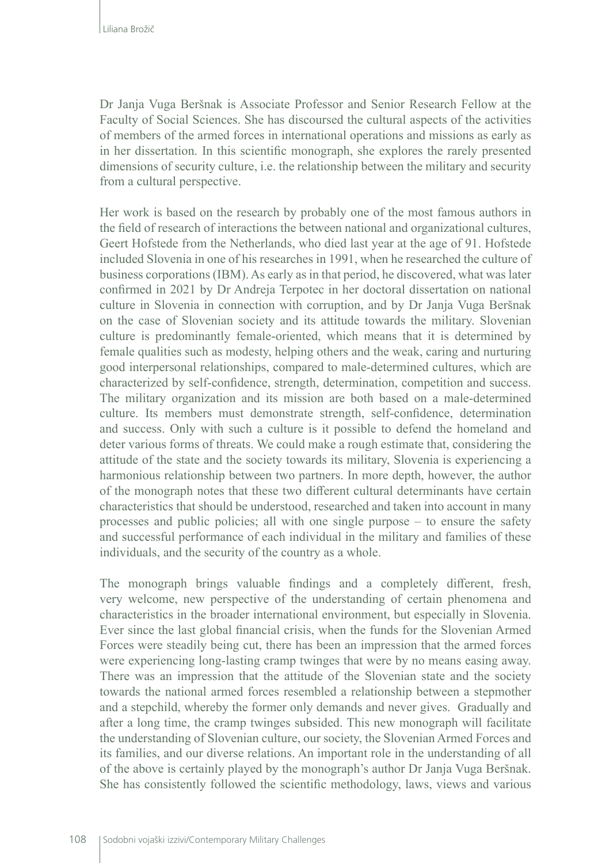Dr Janja Vuga Beršnak is Associate Professor and Senior Research Fellow at the Faculty of Social Sciences. She has discoursed the cultural aspects of the activities of members of the armed forces in international operations and missions as early as in her dissertation. In this scientific monograph, she explores the rarely presented dimensions of security culture, i.e. the relationship between the military and security from a cultural perspective.

Her work is based on the research by probably one of the most famous authors in the field of research of interactions the between national and organizational cultures, Geert Hofstede from the Netherlands, who died last year at the age of 91. Hofstede included Slovenia in one of his researches in 1991, when he researched the culture of business corporations (IBM). As early as in that period, he discovered, what was later confirmed in 2021 by Dr Andreja Terpotec in her doctoral dissertation on national culture in Slovenia in connection with corruption, and by Dr Janja Vuga Beršnak on the case of Slovenian society and its attitude towards the military. Slovenian culture is predominantly female-oriented, which means that it is determined by female qualities such as modesty, helping others and the weak, caring and nurturing good interpersonal relationships, compared to male-determined cultures, which are characterized by self-confidence, strength, determination, competition and success. The military organization and its mission are both based on a male-determined culture. Its members must demonstrate strength, self-confidence, determination and success. Only with such a culture is it possible to defend the homeland and deter various forms of threats. We could make a rough estimate that, considering the attitude of the state and the society towards its military, Slovenia is experiencing a harmonious relationship between two partners. In more depth, however, the author of the monograph notes that these two different cultural determinants have certain characteristics that should be understood, researched and taken into account in many processes and public policies; all with one single purpose – to ensure the safety and successful performance of each individual in the military and families of these individuals, and the security of the country as a whole.

The monograph brings valuable findings and a completely different, fresh, very welcome, new perspective of the understanding of certain phenomena and characteristics in the broader international environment, but especially in Slovenia. Ever since the last global financial crisis, when the funds for the Slovenian Armed Forces were steadily being cut, there has been an impression that the armed forces were experiencing long-lasting cramp twinges that were by no means easing away. There was an impression that the attitude of the Slovenian state and the society towards the national armed forces resembled a relationship between a stepmother and a stepchild, whereby the former only demands and never gives. Gradually and after a long time, the cramp twinges subsided. This new monograph will facilitate the understanding of Slovenian culture, our society, the Slovenian Armed Forces and its families, and our diverse relations. An important role in the understanding of all of the above is certainly played by the monograph's author Dr Janja Vuga Beršnak. She has consistently followed the scientific methodology, laws, views and various